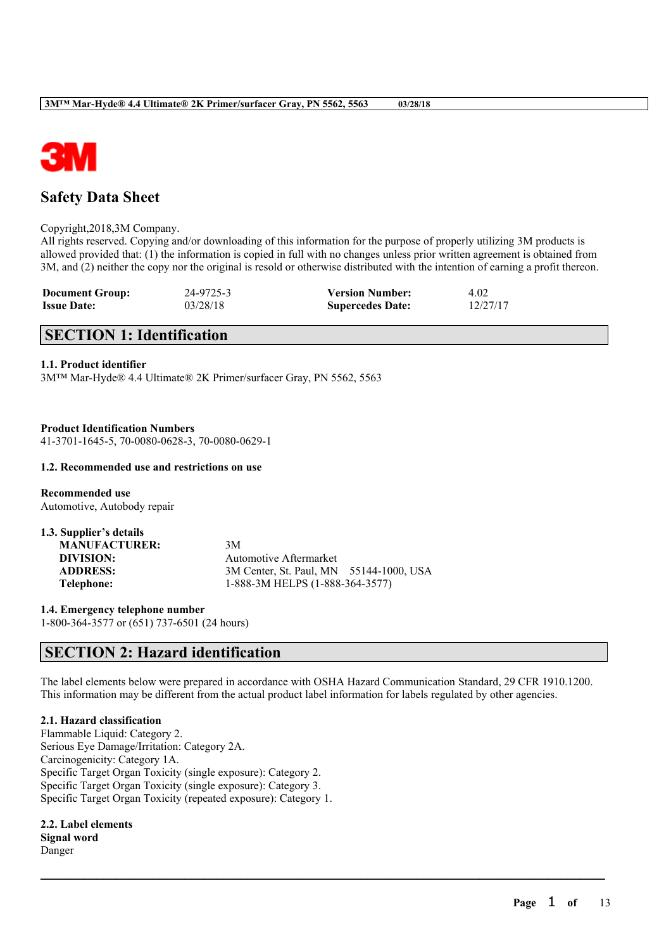

# **Safety Data Sheet**

#### Copyright,2018,3M Company.

All rights reserved. Copying and/or downloading of this information for the purpose of properly utilizing 3M products is allowed provided that: (1) the information is copied in full with no changes unless prior written agreement is obtained from 3M, and (2) neither the copy nor the original is resold or otherwise distributed with the intention of earning a profit thereon.

| <b>Document Group:</b> | 24-9725-3 | <b>Version Number:</b>  | 4.02     |
|------------------------|-----------|-------------------------|----------|
| <b>Issue Date:</b>     | 03/28/18  | <b>Supercedes Date:</b> | 12/27/17 |

# **SECTION 1: Identification**

#### **1.1. Product identifier**

3M™ Mar-Hyde® 4.4 Ultimate® 2K Primer/surfacer Gray, PN 5562, 5563

**Product Identification Numbers** 41-3701-1645-5, 70-0080-0628-3, 70-0080-0629-1

#### **1.2. Recommended use and restrictions on use**

**Recommended use** Automotive, Autobody repair

| 1.3. Supplier's details |                                         |  |
|-------------------------|-----------------------------------------|--|
| <b>MANUFACTURER:</b>    | 3M                                      |  |
| DIVISION:               | Automotive Aftermarket                  |  |
| <b>ADDRESS:</b>         | 3M Center, St. Paul, MN 55144-1000, USA |  |
| Telephone:              | 1-888-3M HELPS (1-888-364-3577)         |  |

**1.4. Emergency telephone number** 1-800-364-3577 or (651) 737-6501 (24 hours)

## **SECTION 2: Hazard identification**

The label elements below were prepared in accordance with OSHA Hazard Communication Standard, 29 CFR 1910.1200. This information may be different from the actual product label information for labels regulated by other agencies.

 $\mathcal{L}_\mathcal{L} = \mathcal{L}_\mathcal{L} = \mathcal{L}_\mathcal{L} = \mathcal{L}_\mathcal{L} = \mathcal{L}_\mathcal{L} = \mathcal{L}_\mathcal{L} = \mathcal{L}_\mathcal{L} = \mathcal{L}_\mathcal{L} = \mathcal{L}_\mathcal{L} = \mathcal{L}_\mathcal{L} = \mathcal{L}_\mathcal{L} = \mathcal{L}_\mathcal{L} = \mathcal{L}_\mathcal{L} = \mathcal{L}_\mathcal{L} = \mathcal{L}_\mathcal{L} = \mathcal{L}_\mathcal{L} = \mathcal{L}_\mathcal{L}$ 

#### **2.1. Hazard classification**

Flammable Liquid: Category 2. Serious Eye Damage/Irritation: Category 2A. Carcinogenicity: Category 1A. Specific Target Organ Toxicity (single exposure): Category 2. Specific Target Organ Toxicity (single exposure): Category 3. Specific Target Organ Toxicity (repeated exposure): Category 1.

**2.2. Label elements Signal word** Danger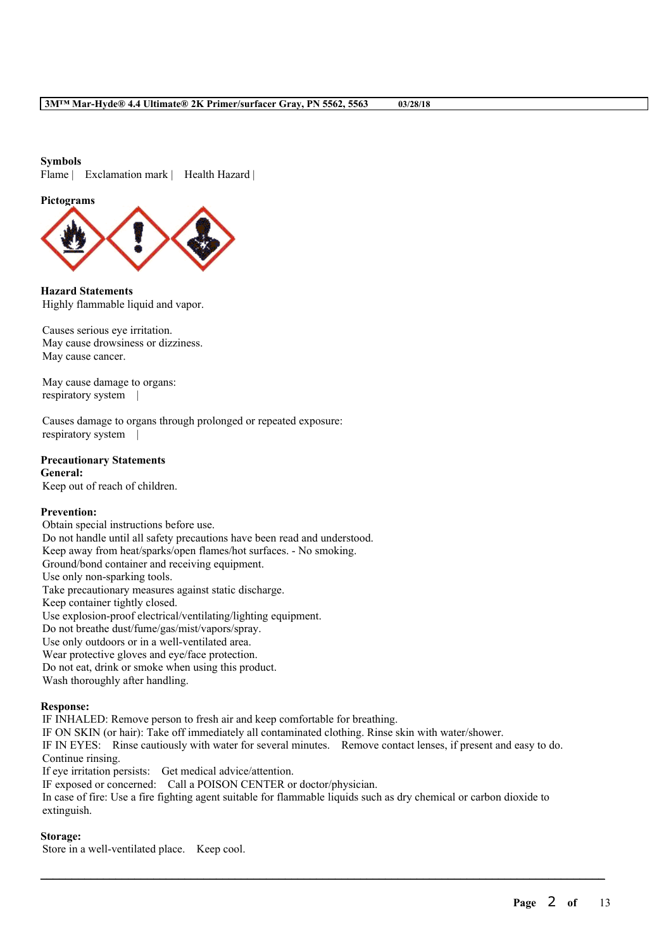#### **Symbols**

Flame | Exclamation mark | Health Hazard |

#### **Pictograms**



**Hazard Statements** Highly flammable liquid and vapor.

Causes serious eye irritation. May cause drowsiness or dizziness. May cause cancer.

May cause damage to organs: respiratory system |

Causes damage to organs through prolonged or repeated exposure: respiratory system |

#### **Precautionary Statements**

**General:** Keep out of reach of children.

#### **Prevention:**

Obtain special instructions before use. Do not handle until all safety precautions have been read and understood. Keep away from heat/sparks/open flames/hot surfaces. - No smoking. Ground/bond container and receiving equipment. Use only non-sparking tools. Take precautionary measures against static discharge. Keep container tightly closed. Use explosion-proof electrical/ventilating/lighting equipment. Do not breathe dust/fume/gas/mist/vapors/spray. Use only outdoors or in a well-ventilated area. Wear protective gloves and eye/face protection. Do not eat, drink or smoke when using this product. Wash thoroughly after handling.

#### **Response:**

IF INHALED: Remove person to fresh air and keep comfortable for breathing. IF ON SKIN (or hair): Take off immediately all contaminated clothing. Rinse skin with water/shower. IF IN EYES: Rinse cautiously with water for several minutes. Remove contact lenses, if present and easy to do. Continue rinsing. If eye irritation persists: Get medical advice/attention. IF exposed or concerned: Call a POISON CENTER or doctor/physician. In case of fire: Use a fire fighting agent suitable for flammable liquids such as dry chemical or carbon dioxide to extinguish.

 $\mathcal{L}_\mathcal{L} = \mathcal{L}_\mathcal{L} = \mathcal{L}_\mathcal{L} = \mathcal{L}_\mathcal{L} = \mathcal{L}_\mathcal{L} = \mathcal{L}_\mathcal{L} = \mathcal{L}_\mathcal{L} = \mathcal{L}_\mathcal{L} = \mathcal{L}_\mathcal{L} = \mathcal{L}_\mathcal{L} = \mathcal{L}_\mathcal{L} = \mathcal{L}_\mathcal{L} = \mathcal{L}_\mathcal{L} = \mathcal{L}_\mathcal{L} = \mathcal{L}_\mathcal{L} = \mathcal{L}_\mathcal{L} = \mathcal{L}_\mathcal{L}$ 

## **Storage:**

Store in a well-ventilated place. Keep cool.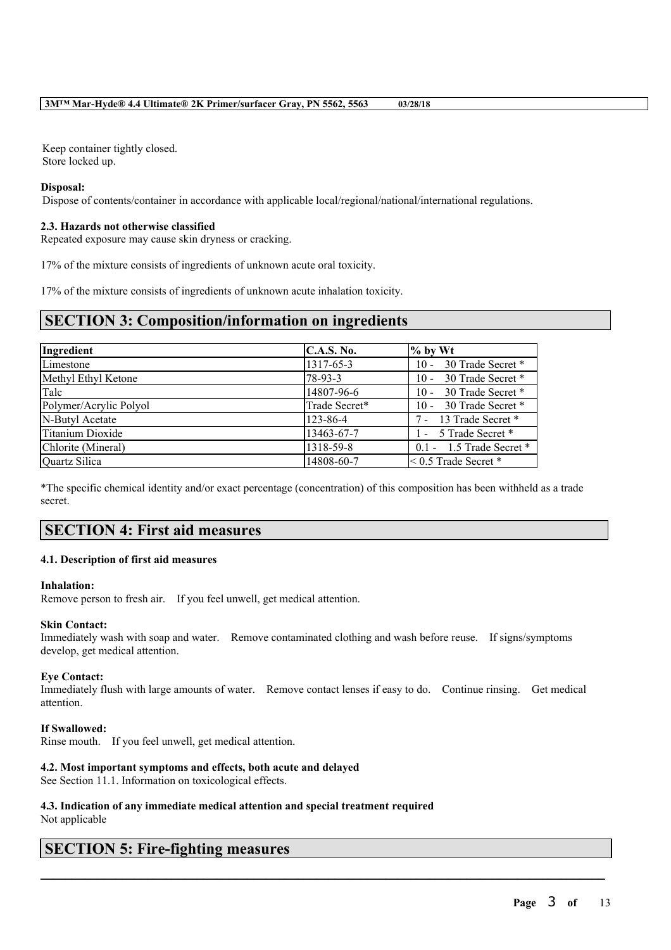Keep container tightly closed. Store locked up.

#### **Disposal:**

Dispose of contents/container in accordance with applicable local/regional/national/international regulations.

#### **2.3. Hazards not otherwise classified**

Repeated exposure may cause skin dryness or cracking.

17% of the mixture consists of ingredients of unknown acute oral toxicity.

17% of the mixture consists of ingredients of unknown acute inhalation toxicity.

## **SECTION 3: Composition/information on ingredients**

| Ingredient             | C.A.S. No.    | $%$ by Wt                    |
|------------------------|---------------|------------------------------|
| Limestone              | 1317-65-3     | 30 Trade Secret *<br>$10 -$  |
| Methyl Ethyl Ketone    | $78-93-3$     | 30 Trade Secret *<br>$10 -$  |
| Talc                   | 14807-96-6    | 30 Trade Secret *<br>$10 -$  |
| Polymer/Acrylic Polyol | Trade Secret* | 30 Trade Secret *<br>$10 -$  |
| N-Butyl Acetate        | 123-86-4      | 7 - 13 Trade Secret *        |
| Titanium Dioxide       | 13463-67-7    | 1 - 5 Trade Secret *         |
| Chlorite (Mineral)     | 1318-59-8     | $0.1 - 1.5$ Trade Secret $*$ |
| Quartz Silica          | 14808-60-7    | $\leq$ 0.5 Trade Secret $*$  |

\*The specific chemical identity and/or exact percentage (concentration) of this composition has been withheld as a trade secret.

## **SECTION 4: First aid measures**

#### **4.1. Description of first aid measures**

#### **Inhalation:**

Remove person to fresh air. If you feel unwell, get medical attention.

#### **Skin Contact:**

Immediately wash with soap and water. Remove contaminated clothing and wash before reuse. If signs/symptoms develop, get medical attention.

#### **Eye Contact:**

Immediately flush with large amounts of water. Remove contact lenses if easy to do. Continue rinsing. Get medical attention.

 $\mathcal{L}_\mathcal{L} = \mathcal{L}_\mathcal{L} = \mathcal{L}_\mathcal{L} = \mathcal{L}_\mathcal{L} = \mathcal{L}_\mathcal{L} = \mathcal{L}_\mathcal{L} = \mathcal{L}_\mathcal{L} = \mathcal{L}_\mathcal{L} = \mathcal{L}_\mathcal{L} = \mathcal{L}_\mathcal{L} = \mathcal{L}_\mathcal{L} = \mathcal{L}_\mathcal{L} = \mathcal{L}_\mathcal{L} = \mathcal{L}_\mathcal{L} = \mathcal{L}_\mathcal{L} = \mathcal{L}_\mathcal{L} = \mathcal{L}_\mathcal{L}$ 

#### **If Swallowed:**

Rinse mouth. If you feel unwell, get medical attention.

### **4.2. Most important symptoms and effects, both acute and delayed**

See Section 11.1. Information on toxicological effects.

# **4.3. Indication of any immediate medical attention and special treatment required**

Not applicable

# **SECTION 5: Fire-fighting measures**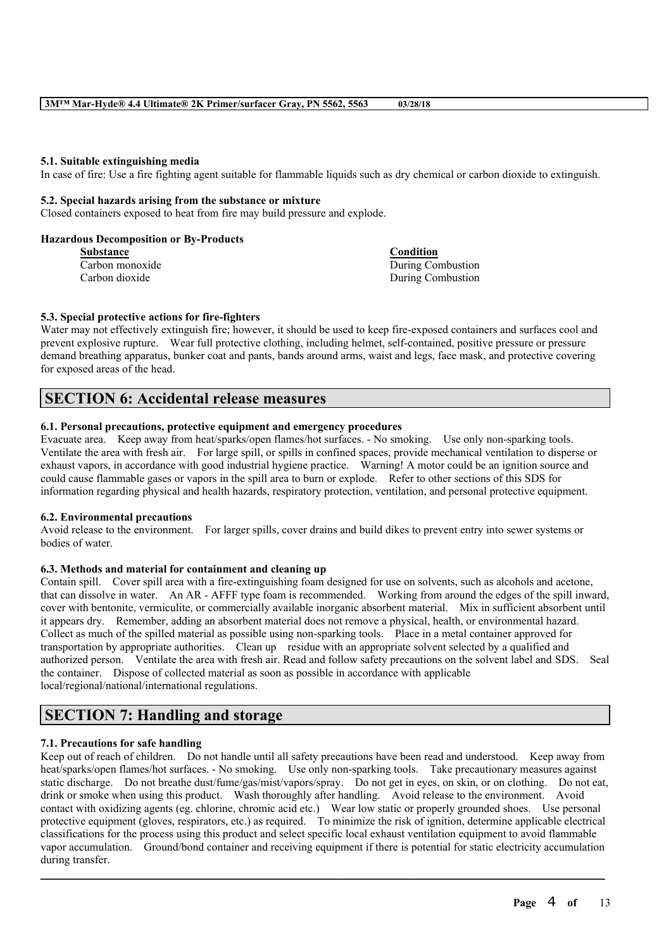#### **5.1. Suitable extinguishing media**

In case of fire: Use a fire fighting agent suitable for flammable liquids such as dry chemical or carbon dioxide to extinguish.

#### **5.2. Special hazards arising from the substance or mixture**

Closed containers exposed to heat from fire may build pressure and explode.

#### **Hazardous Decomposition or By-Products**

| <b>Substance</b> | Condition         |
|------------------|-------------------|
| Carbon monoxide  | During Combustion |
| Carbon dioxide   | During Combustion |

#### **5.3. Special protective actions for fire-fighters**

Water may not effectively extinguish fire; however, it should be used to keep fire-exposed containers and surfaces cool and prevent explosive rupture. Wear full protective clothing, including helmet, self-contained, positive pressure or pressure demand breathing apparatus, bunker coat and pants, bands around arms, waist and legs, face mask, and protective covering for exposed areas of the head.

## **SECTION 6: Accidental release measures**

### **6.1. Personal precautions, protective equipment and emergency procedures**

Evacuate area. Keep away from heat/sparks/open flames/hot surfaces. - No smoking. Use only non-sparking tools. Ventilate the area with fresh air. For large spill, or spills in confined spaces, provide mechanical ventilation to disperse or exhaust vapors, in accordance with good industrial hygiene practice. Warning! A motor could be an ignition source and could cause flammable gases or vapors in the spill area to burn or explode. Refer to other sections of this SDS for information regarding physical and health hazards, respiratory protection, ventilation, and personal protective equipment.

#### **6.2. Environmental precautions**

Avoid release to the environment. For larger spills, cover drains and build dikes to prevent entry into sewer systems or bodies of water.

#### **6.3. Methods and material for containment and cleaning up**

Contain spill. Cover spill area with a fire-extinguishing foam designed for use on solvents, such as alcohols and acetone, that can dissolve in water. An AR - AFFF type foam is recommended. Working from around the edges of the spill inward, cover with bentonite, vermiculite, or commercially available inorganic absorbent material. Mix in sufficient absorbent until it appears dry. Remember, adding an absorbent material does not remove a physical, health, or environmental hazard. Collect as much of the spilled material as possible using non-sparking tools. Place in a metal container approved for transportation by appropriate authorities. Clean up residue with an appropriate solvent selected by a qualified and authorized person. Ventilate the area with fresh air. Read and follow safety precautions on the solvent label and SDS. Seal the container. Dispose of collected material as soon as possible in accordance with applicable local/regional/national/international regulations.

# **SECTION 7: Handling and storage**

#### **7.1. Precautions for safe handling**

Keep out of reach of children. Do not handle until all safety precautions have been read and understood. Keep away from heat/sparks/open flames/hot surfaces. - No smoking. Use only non-sparking tools. Take precautionary measures against static discharge. Do not breathe dust/fume/gas/mist/vapors/spray. Do not get in eyes, on skin, or on clothing. Do not eat, drink or smoke when using this product. Wash thoroughly after handling. Avoid release to the environment. Avoid contact with oxidizing agents (eg. chlorine, chromic acid etc.) Wear low static or properly grounded shoes. Use personal protective equipment (gloves, respirators, etc.) as required. To minimize the risk of ignition, determine applicable electrical classifications for the process using this product and select specific local exhaust ventilation equipment to avoid flammable vapor accumulation. Ground/bond container and receiving equipment if there is potential for static electricity accumulation during transfer.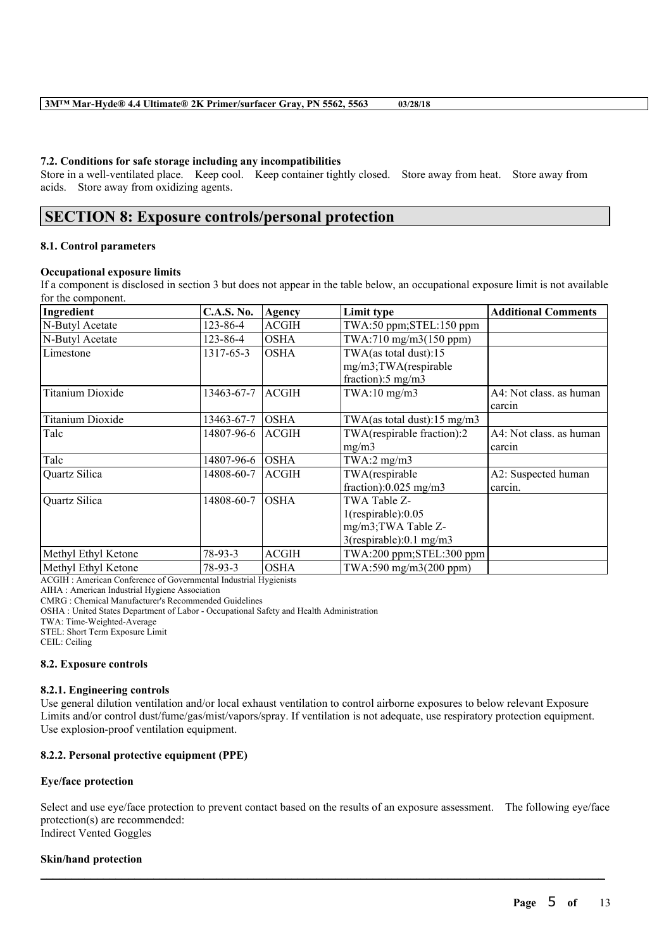#### **7.2. Conditions for safe storage including any incompatibilities**

Store in a well-ventilated place. Keep cool. Keep container tightly closed. Store away from heat. Store away from acids. Store away from oxidizing agents.

## **SECTION 8: Exposure controls/personal protection**

#### **8.1. Control parameters**

#### **Occupational exposure limits**

If a component is disclosed in section 3 but does not appear in the table below, an occupational exposure limit is not available for the component.

| Ingredient              | <b>C.A.S. No.</b> | Agency       | Limit type                              | <b>Additional Comments</b> |
|-------------------------|-------------------|--------------|-----------------------------------------|----------------------------|
| N-Butyl Acetate         | 123-86-4          | <b>ACGIH</b> | TWA:50 ppm;STEL:150 ppm                 |                            |
| N-Butyl Acetate         | 123-86-4          | <b>OSHA</b>  | $TWA:710$ mg/m $3(150$ ppm)             |                            |
| Limestone               | 1317-65-3         | <b>OSHA</b>  | TWA(as total dust):15                   |                            |
|                         |                   |              | mg/m3;TWA(respirable                    |                            |
|                         |                   |              | fraction): $5 \text{ mg/m}$ 3           |                            |
| <b>Titanium Dioxide</b> | 13463-67-7        | <b>ACGIH</b> | $TWA:10$ mg/m $3$                       | A4: Not class, as human    |
|                         |                   |              |                                         | carcin                     |
| <b>Titanium Dioxide</b> | 13463-67-7        | <b>OSHA</b>  | TWA(as total dust): $15 \text{ mg/m}$ 3 |                            |
| Talc                    | 14807-96-6        | <b>ACGIH</b> | TWA(respirable fraction):2              | A4: Not class, as human    |
|                         |                   |              | mg/m3                                   | carcin                     |
| Talc                    | 14807-96-6        | <b>OSHA</b>  | TWA:2 $mg/m3$                           |                            |
| Quartz Silica           | 14808-60-7        | ACGIH        | TWA(respirable                          | A2: Suspected human        |
|                         |                   |              | fraction): $0.025$ mg/m3                | carcin.                    |
| Quartz Silica           | 14808-60-7        | <b>OSHA</b>  | TWA Table Z-                            |                            |
|                         |                   |              | $1$ (respirable): $0.05$                |                            |
|                         |                   |              | mg/m3;TWA Table Z-                      |                            |
|                         |                   |              | $3$ (respirable):0.1 mg/m $3$           |                            |
| Methyl Ethyl Ketone     | 78-93-3           | <b>ACGIH</b> | TWA:200 ppm;STEL:300 ppm                |                            |
| Methyl Ethyl Ketone     | $78-93-3$         | <b>OSHA</b>  | TWA:590 mg/m3(200 ppm)                  |                            |

ACGIH : American Conference of Governmental Industrial Hygienists

AIHA : American Industrial Hygiene Association

CMRG : Chemical Manufacturer's Recommended Guidelines

OSHA : United States Department of Labor - Occupational Safety and Health Administration

TWA: Time-Weighted-Average

STEL: Short Term Exposure Limit

CEIL: Ceiling

#### **8.2. Exposure controls**

#### **8.2.1. Engineering controls**

Use general dilution ventilation and/or local exhaust ventilation to control airborne exposures to below relevant Exposure Limits and/or control dust/fume/gas/mist/vapors/spray. If ventilation is not adequate, use respiratory protection equipment. Use explosion-proof ventilation equipment.

#### **8.2.2. Personal protective equipment (PPE)**

#### **Eye/face protection**

Select and use eye/face protection to prevent contact based on the results of an exposure assessment. The following eye/face protection(s) are recommended: Indirect Vented Goggles

 $\mathcal{L}_\mathcal{L} = \mathcal{L}_\mathcal{L} = \mathcal{L}_\mathcal{L} = \mathcal{L}_\mathcal{L} = \mathcal{L}_\mathcal{L} = \mathcal{L}_\mathcal{L} = \mathcal{L}_\mathcal{L} = \mathcal{L}_\mathcal{L} = \mathcal{L}_\mathcal{L} = \mathcal{L}_\mathcal{L} = \mathcal{L}_\mathcal{L} = \mathcal{L}_\mathcal{L} = \mathcal{L}_\mathcal{L} = \mathcal{L}_\mathcal{L} = \mathcal{L}_\mathcal{L} = \mathcal{L}_\mathcal{L} = \mathcal{L}_\mathcal{L}$ 

#### **Skin/hand protection**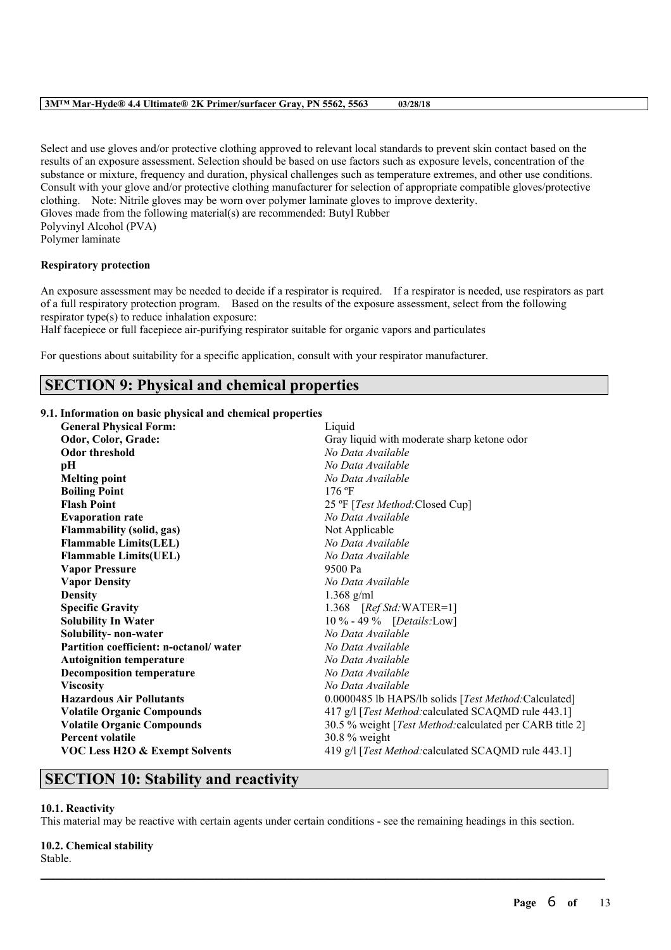Select and use gloves and/or protective clothing approved to relevant local standards to prevent skin contact based on the results of an exposure assessment. Selection should be based on use factors such as exposure levels, concentration of the substance or mixture, frequency and duration, physical challenges such as temperature extremes, and other use conditions. Consult with your glove and/or protective clothing manufacturer for selection of appropriate compatible gloves/protective clothing. Note: Nitrile gloves may be worn over polymer laminate gloves to improve dexterity. Gloves made from the following material(s) are recommended: Butyl Rubber Polyvinyl Alcohol (PVA) Polymer laminate

### **Respiratory protection**

An exposure assessment may be needed to decide if a respirator is required. If a respirator is needed, use respirators as part of a full respiratory protection program. Based on the results of the exposure assessment, select from the following respirator type(s) to reduce inhalation exposure:

Half facepiece or full facepiece air-purifying respirator suitable for organic vapors and particulates

For questions about suitability for a specific application, consult with your respirator manufacturer.

## **SECTION 9: Physical and chemical properties**

#### **9.1. Information on basic physical and chemical properties**

| <b>General Physical Form:</b>             | Liquid                                                   |
|-------------------------------------------|----------------------------------------------------------|
| Odor, Color, Grade:                       | Gray liquid with moderate sharp ketone odor              |
| <b>Odor threshold</b>                     | No Data Available                                        |
| pН                                        | No Data Available                                        |
| <b>Melting point</b>                      | No Data Available                                        |
| <b>Boiling Point</b>                      | 176 °F                                                   |
| <b>Flash Point</b>                        | 25 °F [ <i>Test Method</i> :Closed Cup]                  |
| <b>Evaporation rate</b>                   | No Data Available                                        |
| <b>Flammability (solid, gas)</b>          | Not Applicable                                           |
| <b>Flammable Limits(LEL)</b>              | No Data Available                                        |
| <b>Flammable Limits(UEL)</b>              | No Data Available                                        |
| <b>Vapor Pressure</b>                     | 9500 Pa                                                  |
| <b>Vapor Density</b>                      | No Data Available                                        |
| <b>Density</b>                            | $1.368$ g/ml                                             |
| <b>Specific Gravity</b>                   | 1.368 $[RefStd:WATER=1]$                                 |
| <b>Solubility In Water</b>                | 10 % - 49 % [Details:Low]                                |
| Solubility- non-water                     | No Data Available                                        |
| Partition coefficient: n-octanol/water    | No Data Available                                        |
| <b>Autoignition temperature</b>           | No Data Available                                        |
| <b>Decomposition temperature</b>          | No Data Available                                        |
| <b>Viscosity</b>                          | No Data Available                                        |
| <b>Hazardous Air Pollutants</b>           | 0.0000485 lb HAPS/lb solids [Test Method:Calculated]     |
| <b>Volatile Organic Compounds</b>         | 417 g/l [Test Method: calculated SCAQMD rule 443.1]      |
| <b>Volatile Organic Compounds</b>         | 30.5 % weight [Test Method: calculated per CARB title 2] |
| <b>Percent volatile</b>                   | $30.8\%$ weight                                          |
| <b>VOC Less H2O &amp; Exempt Solvents</b> | 419 g/l [Test Method: calculated SCAQMD rule 443.1]      |
|                                           |                                                          |

## **SECTION 10: Stability and reactivity**

#### **10.1. Reactivity**

This material may be reactive with certain agents under certain conditions - see the remaining headings in this section.

 $\mathcal{L}_\mathcal{L} = \mathcal{L}_\mathcal{L} = \mathcal{L}_\mathcal{L} = \mathcal{L}_\mathcal{L} = \mathcal{L}_\mathcal{L} = \mathcal{L}_\mathcal{L} = \mathcal{L}_\mathcal{L} = \mathcal{L}_\mathcal{L} = \mathcal{L}_\mathcal{L} = \mathcal{L}_\mathcal{L} = \mathcal{L}_\mathcal{L} = \mathcal{L}_\mathcal{L} = \mathcal{L}_\mathcal{L} = \mathcal{L}_\mathcal{L} = \mathcal{L}_\mathcal{L} = \mathcal{L}_\mathcal{L} = \mathcal{L}_\mathcal{L}$ 

#### **10.2. Chemical stability**

Stable.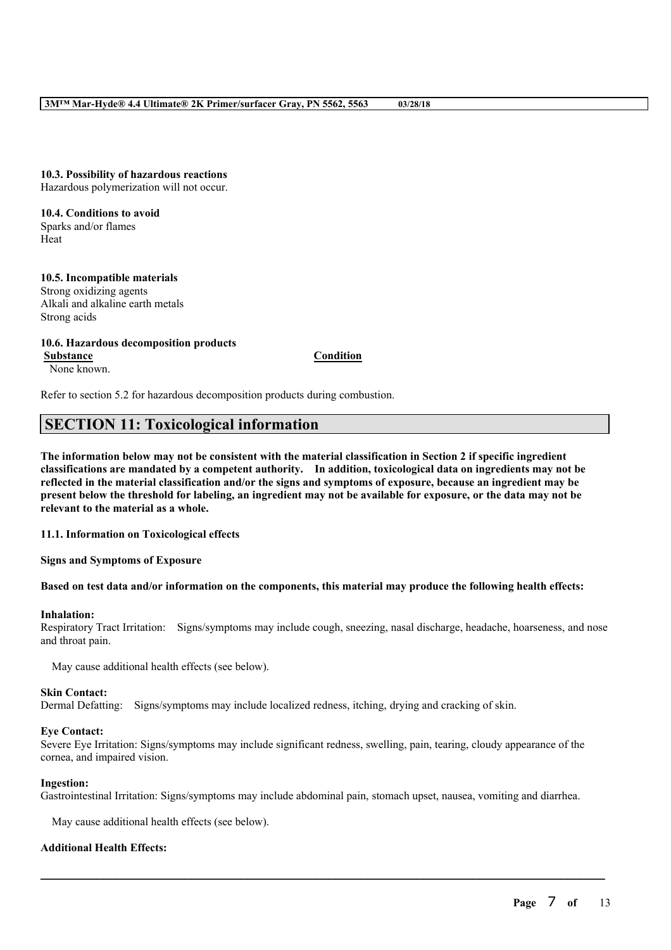**10.3. Possibility of hazardous reactions** Hazardous polymerization will not occur.

**10.4. Conditions to avoid** Sparks and/or flames Heat

**10.5. Incompatible materials** Strong oxidizing agents Alkali and alkaline earth metals Strong acids

**10.6. Hazardous decomposition products Substance Condition** None known.

Refer to section 5.2 for hazardous decomposition products during combustion.

## **SECTION 11: Toxicological information**

The information below may not be consistent with the material classification in Section 2 if specific ingredient **classifications are mandated by a competent authority. In addition, toxicological data on ingredients may not be** reflected in the material classification and/or the signs and symptoms of exposure, because an ingredient may be present below the threshold for labeling, an ingredient may not be available for exposure, or the data may not be **relevant to the material as a whole.**

**11.1. Information on Toxicological effects**

**Signs and Symptoms of Exposure**

#### Based on test data and/or information on the components, this material may produce the following health effects:

#### **Inhalation:**

Respiratory Tract Irritation: Signs/symptoms may include cough, sneezing, nasal discharge, headache, hoarseness, and nose and throat pain.

May cause additional health effects (see below).

#### **Skin Contact:**

Dermal Defatting: Signs/symptoms may include localized redness, itching, drying and cracking of skin.

#### **Eye Contact:**

Severe Eye Irritation: Signs/symptoms may include significant redness, swelling, pain, tearing, cloudy appearance of the cornea, and impaired vision.

#### **Ingestion:**

Gastrointestinal Irritation: Signs/symptoms may include abdominal pain, stomach upset, nausea, vomiting and diarrhea.

 $\mathcal{L}_\mathcal{L} = \mathcal{L}_\mathcal{L} = \mathcal{L}_\mathcal{L} = \mathcal{L}_\mathcal{L} = \mathcal{L}_\mathcal{L} = \mathcal{L}_\mathcal{L} = \mathcal{L}_\mathcal{L} = \mathcal{L}_\mathcal{L} = \mathcal{L}_\mathcal{L} = \mathcal{L}_\mathcal{L} = \mathcal{L}_\mathcal{L} = \mathcal{L}_\mathcal{L} = \mathcal{L}_\mathcal{L} = \mathcal{L}_\mathcal{L} = \mathcal{L}_\mathcal{L} = \mathcal{L}_\mathcal{L} = \mathcal{L}_\mathcal{L}$ 

May cause additional health effects (see below).

#### **Additional Health Effects:**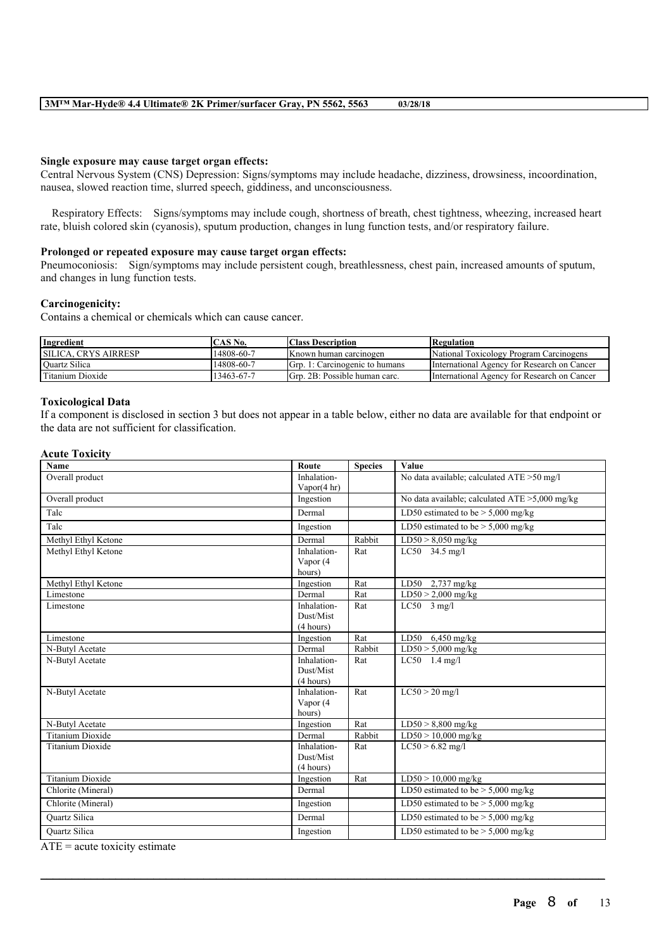#### **Single exposure may cause target organ effects:**

Central Nervous System (CNS) Depression: Signs/symptoms may include headache, dizziness, drowsiness, incoordination, nausea, slowed reaction time, slurred speech, giddiness, and unconsciousness.

Respiratory Effects: Signs/symptoms may include cough, shortness of breath, chest tightness, wheezing, increased heart rate, bluish colored skin (cyanosis), sputum production, changes in lung function tests, and/or respiratory failure.

#### **Prolonged or repeated exposure may cause target organ effects:**

Pneumoconiosis: Sign/symptoms may include persistent cough, breathlessness, chest pain, increased amounts of sputum, and changes in lung function tests.

#### **Carcinogenicity:**

Contains a chemical or chemicals which can cause cancer.

| <b>Ingredient</b>           | CAS No.    | <b>Class Description</b>       | Regulation                                  |
|-----------------------------|------------|--------------------------------|---------------------------------------------|
| <b>SILICA. CRYS AIRRESP</b> | 14808-60-7 | Known human carcinogen         | National Toxicology Program Carcinogens     |
| <b>Quartz Silica</b>        | 14808-60-7 | Grp. 1: Carcinogenic to humans | International Agency for Research on Cancer |
| Titanium Dioxide            | 13463-67-7 | Grp. 2B: Possible human carc.  | International Agency for Research on Cancer |

### **Toxicological Data**

If a component is disclosed in section 3 but does not appear in a table below, either no data are available for that endpoint or the data are not sufficient for classification.

| <b>Acute Toxicity</b>   |                        |                |                                                |
|-------------------------|------------------------|----------------|------------------------------------------------|
| <b>Name</b>             | Route                  | <b>Species</b> | Value                                          |
| Overall product         | Inhalation-            |                | No data available; calculated ATE >50 mg/l     |
|                         | Vapor $(4 \text{ hr})$ |                |                                                |
| Overall product         | Ingestion              |                | No data available; calculated ATE >5,000 mg/kg |
| Talc                    | Dermal                 |                | LD50 estimated to be $> 5,000$ mg/kg           |
| Talc                    | Ingestion              |                | LD50 estimated to be $> 5,000$ mg/kg           |
| Methyl Ethyl Ketone     | Dermal                 | Rabbit         | $LD50 > 8,050$ mg/kg                           |
| Methyl Ethyl Ketone     | Inhalation-            | Rat            | LC50 34.5 mg/l                                 |
|                         | Vapor (4               |                |                                                |
|                         | hours)                 |                |                                                |
| Methyl Ethyl Ketone     | Ingestion              | Rat            | LD50 $2,737$ mg/kg                             |
| Limestone               | Dermal                 | Rat            | $LD50 > 2,000$ mg/kg                           |
| Limestone               | Inhalation-            | Rat            | $LC50$ 3 mg/l                                  |
|                         | Dust/Mist              |                |                                                |
|                         | (4 hours)              |                |                                                |
| Limestone               | Ingestion              | Rat            | $6,450$ mg/kg<br>LD50                          |
| N-Butyl Acetate         | Dermal                 | Rabbit         | $LD50 > 5,000$ mg/kg                           |
| N-Butyl Acetate         | Inhalation-            | Rat            | $LC50$ 1.4 mg/l                                |
|                         | Dust/Mist              |                |                                                |
|                         | (4 hours)              |                |                                                |
| N-Butyl Acetate         | Inhalation-            | Rat            | $LC50 > 20$ mg/l                               |
|                         | Vapor (4               |                |                                                |
|                         | hours)                 |                |                                                |
| N-Butyl Acetate         | Ingestion              | Rat            | $LD50 > 8,800$ mg/kg                           |
| <b>Titanium Dioxide</b> | Dermal                 | Rabbit         | $LD50 > 10,000$ mg/kg                          |
| <b>Titanium Dioxide</b> | Inhalation-            | Rat            | $LC50 > 6.82$ mg/l                             |
|                         | Dust/Mist              |                |                                                |
|                         | (4 hours)              |                |                                                |
| <b>Titanium Dioxide</b> | Ingestion              | Rat            | $LD50 > 10,000$ mg/kg                          |
| Chlorite (Mineral)      | Dermal                 |                | LD50 estimated to be $> 5,000$ mg/kg           |
| Chlorite (Mineral)      | Ingestion              |                | LD50 estimated to be $> 5,000$ mg/kg           |
| Quartz Silica           | Dermal                 |                | LD50 estimated to be $> 5,000$ mg/kg           |
| <b>Ouartz Silica</b>    | Ingestion              |                | LD50 estimated to be $>$ 5,000 mg/kg           |

 $\mathcal{L}_\mathcal{L} = \mathcal{L}_\mathcal{L} = \mathcal{L}_\mathcal{L} = \mathcal{L}_\mathcal{L} = \mathcal{L}_\mathcal{L} = \mathcal{L}_\mathcal{L} = \mathcal{L}_\mathcal{L} = \mathcal{L}_\mathcal{L} = \mathcal{L}_\mathcal{L} = \mathcal{L}_\mathcal{L} = \mathcal{L}_\mathcal{L} = \mathcal{L}_\mathcal{L} = \mathcal{L}_\mathcal{L} = \mathcal{L}_\mathcal{L} = \mathcal{L}_\mathcal{L} = \mathcal{L}_\mathcal{L} = \mathcal{L}_\mathcal{L}$ 

 $ATE = acute$  toxicity estimate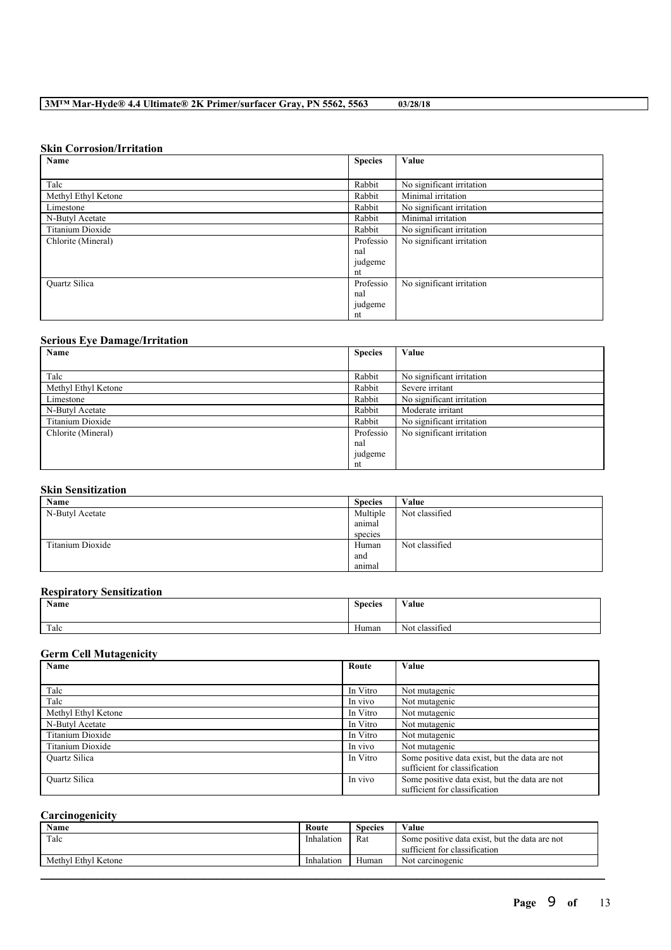### **Skin Corrosion/Irritation**

| Name                    | <b>Species</b> | Value                     |
|-------------------------|----------------|---------------------------|
|                         |                |                           |
| Talc                    | Rabbit         | No significant irritation |
| Methyl Ethyl Ketone     | Rabbit         | Minimal irritation        |
| Limestone               | Rabbit         | No significant irritation |
| N-Butyl Acetate         | Rabbit         | Minimal irritation        |
| <b>Titanium Dioxide</b> | Rabbit         | No significant irritation |
| Chlorite (Mineral)      | Professio      | No significant irritation |
|                         | nal            |                           |
|                         | judgeme        |                           |
|                         | nt             |                           |
| <b>Ouartz Silica</b>    | Professio      | No significant irritation |
|                         | nal            |                           |
|                         | judgeme        |                           |
|                         | nt             |                           |

## **Serious Eye Damage/Irritation**

| Name                | <b>Species</b> | Value                     |
|---------------------|----------------|---------------------------|
|                     |                |                           |
| Talc                | Rabbit         | No significant irritation |
| Methyl Ethyl Ketone | Rabbit         | Severe irritant           |
| Limestone           | Rabbit         | No significant irritation |
| N-Butyl Acetate     | Rabbit         | Moderate irritant         |
| Titanium Dioxide    | Rabbit         | No significant irritation |
| Chlorite (Mineral)  | Professio      | No significant irritation |
|                     | nal            |                           |
|                     | judgeme        |                           |
|                     | nt             |                           |

## **Skin Sensitization**

| Name             | <b>Species</b> | Value          |
|------------------|----------------|----------------|
| N-Butyl Acetate  | Multiple       | Not classified |
|                  | animal         |                |
|                  | species        |                |
| Titanium Dioxide | Human          | Not classified |
|                  | and            |                |
|                  | animal         |                |

#### **Respiratory Sensitization**

| Value<br><b>Name</b><br><b>Species</b>                            |  |
|-------------------------------------------------------------------|--|
| Talc<br>$\cdot$ $\sim$<br>Human<br>$\mathbf{v}$<br>Not classified |  |

## **Germ Cell Mutagenicity**

| Name                 | Route    | Value                                                                           |
|----------------------|----------|---------------------------------------------------------------------------------|
|                      |          |                                                                                 |
| Talc                 | In Vitro | Not mutagenic                                                                   |
| Talc                 | In vivo  | Not mutagenic                                                                   |
| Methyl Ethyl Ketone  | In Vitro | Not mutagenic                                                                   |
| N-Butyl Acetate      | In Vitro | Not mutagenic                                                                   |
| Titanium Dioxide     | In Vitro | Not mutagenic                                                                   |
| Titanium Dioxide     | In vivo  | Not mutagenic                                                                   |
| <b>Ouartz Silica</b> | In Vitro | Some positive data exist, but the data are not<br>sufficient for classification |
| <b>Ouartz Silica</b> | In vivo  | Some positive data exist, but the data are not<br>sufficient for classification |

## **Carcinogenicity**

| <b>Name</b>         | Route      | <b>Species</b> | Value                                                                           |
|---------------------|------------|----------------|---------------------------------------------------------------------------------|
| Talc                | Inhalation | Rat            | Some positive data exist, but the data are not<br>sufficient for classification |
| Methyl Ethyl Ketone | Inhalation | Human          | Not carcinogenic                                                                |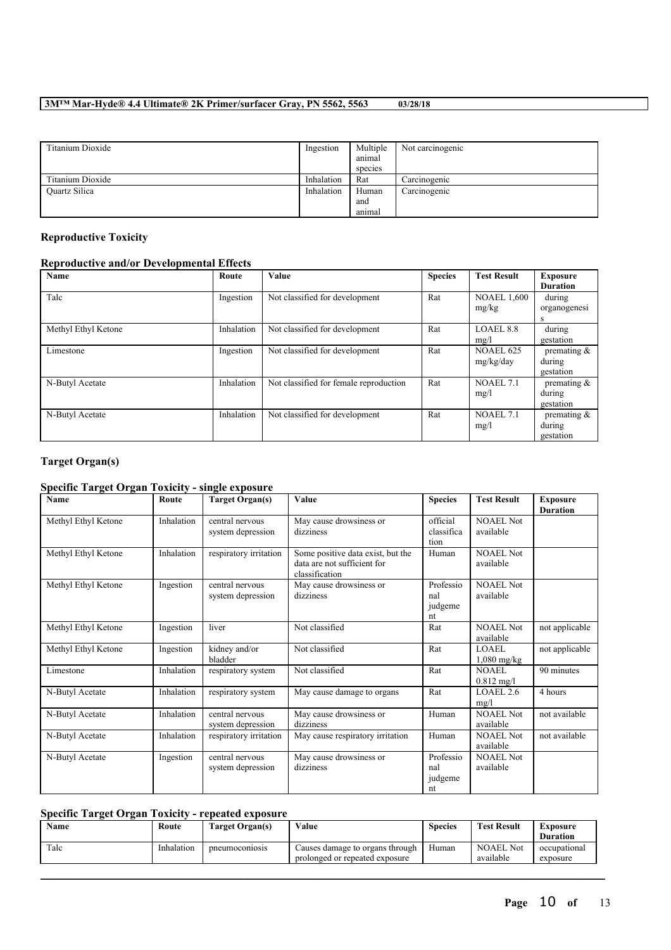| Titanium Dioxide | Ingestion  | Multiple | Not carcinogenic |
|------------------|------------|----------|------------------|
|                  |            | anımal   |                  |
|                  |            | species  |                  |
| Titanium Dioxide | Inhalation | Rat      | Carcinogenic     |
| Quartz Silica    | Inhalation | Human    | Carcinogenic     |
|                  |            | and      |                  |
|                  |            | anımal   |                  |

## **Reproductive Toxicity**

## **Reproductive and/or Developmental Effects**

| Name                | Route      | Value                                  | <b>Species</b> | <b>Test Result</b> | <b>Exposure</b> |
|---------------------|------------|----------------------------------------|----------------|--------------------|-----------------|
|                     |            |                                        |                |                    | <b>Duration</b> |
| Talc                | Ingestion  | Not classified for development         | Rat            | <b>NOAEL 1,600</b> | during          |
|                     |            |                                        |                | mg/kg              | organogenesi    |
|                     |            |                                        |                |                    | S               |
| Methyl Ethyl Ketone | Inhalation | Not classified for development         | Rat            | LOAEL 8.8          | during          |
|                     |            |                                        |                | mg/l               | gestation       |
| Limestone           | Ingestion  | Not classified for development         | Rat            | <b>NOAEL 625</b>   | premating $\&$  |
|                     |            |                                        |                | mg/kg/day          | during          |
|                     |            |                                        |                |                    | gestation       |
| N-Butyl Acetate     | Inhalation | Not classified for female reproduction | Rat            | NOAEL 7.1          | premating $\&$  |
|                     |            |                                        |                | mg/l               | during          |
|                     |            |                                        |                |                    | gestation       |
| N-Butyl Acetate     | Inhalation | Not classified for development         | Rat            | NOAEL 7.1          | premating $\&$  |
|                     |            |                                        |                | mg/l               | during          |
|                     |            |                                        |                |                    | gestation       |

## **Target Organ(s)**

## **Specific Target Organ Toxicity - single exposure**

| Name                | Route      | <b>Target Organ(s)</b> | Value                             | <b>Species</b> | <b>Test Result</b>   | <b>Exposure</b> |
|---------------------|------------|------------------------|-----------------------------------|----------------|----------------------|-----------------|
|                     |            |                        |                                   |                |                      | <b>Duration</b> |
| Methyl Ethyl Ketone | Inhalation | central nervous        | May cause drowsiness or           | official       | <b>NOAEL Not</b>     |                 |
|                     |            | system depression      | dizziness                         | classifica     | available            |                 |
|                     |            |                        |                                   | tion           |                      |                 |
| Methyl Ethyl Ketone | Inhalation | respiratory irritation | Some positive data exist, but the | Human          | <b>NOAEL Not</b>     |                 |
|                     |            |                        | data are not sufficient for       |                | available            |                 |
|                     |            |                        | classification                    |                |                      |                 |
| Methyl Ethyl Ketone | Ingestion  | central nervous        | May cause drowsiness or           | Professio      | <b>NOAEL Not</b>     |                 |
|                     |            | system depression      | dizziness                         | nal            | available            |                 |
|                     |            |                        |                                   | judgeme        |                      |                 |
|                     |            |                        |                                   | nt             |                      |                 |
| Methyl Ethyl Ketone | Ingestion  | liver                  | Not classified                    | Rat            | NOAEL Not            | not applicable  |
|                     |            |                        |                                   |                | available            |                 |
| Methyl Ethyl Ketone | Ingestion  | kidney and/or          | Not classified                    | Rat            | LOAEL                | not applicable  |
|                     |            | bladder                |                                   |                | $1,080$ mg/kg        |                 |
| Limestone           | Inhalation | respiratory system     | Not classified                    | Rat            | NOAEL                | 90 minutes      |
|                     |            |                        |                                   |                | $0.812 \text{ mg/l}$ |                 |
| N-Butyl Acetate     | Inhalation | respiratory system     | May cause damage to organs        | Rat            | LOAEL 2.6            | 4 hours         |
|                     |            |                        |                                   |                |                      |                 |
|                     |            |                        |                                   |                | mg/l<br>NOAEL Not    | not available   |
| N-Butyl Acetate     | Inhalation | central nervous        | May cause drowsiness or           | Human          |                      |                 |
|                     |            | system depression      | dizziness                         |                | available            |                 |
| N-Butyl Acetate     | Inhalation | respiratory irritation | May cause respiratory irritation  | Human          | <b>NOAEL Not</b>     | not available   |
|                     |            |                        |                                   |                | available            |                 |
| N-Butyl Acetate     | Ingestion  | central nervous        | May cause drowsiness or           | Professio      | <b>NOAEL Not</b>     |                 |
|                     |            | system depression      | dizziness                         | nal            | available            |                 |
|                     |            |                        |                                   | judgeme        |                      |                 |
|                     |            |                        |                                   | nt             |                      |                 |

## **Specific Target Organ Toxicity - repeated exposure**

| Name | Route      | <b>Target Organ(s)</b> | Value                                                             | <b>Species</b> | <b>Test Result</b>            | Exposure<br><b>Duration</b> |
|------|------------|------------------------|-------------------------------------------------------------------|----------------|-------------------------------|-----------------------------|
| Talc | Inhalation | pneumoconiosis         | Causes damage to organs through<br>prolonged or repeated exposure | Human          | <b>NOAEL Not</b><br>available | occupational<br>exposure    |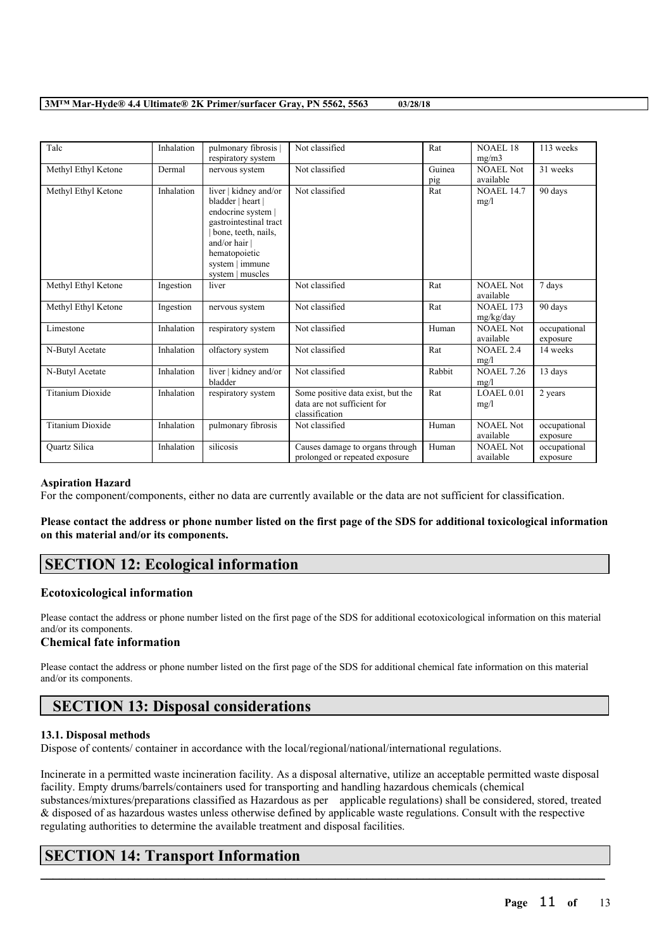| Talc                    | Inhalation | pulmonary fibrosis<br>respiratory system                                                                                                                                                   | Not classified                                                                     | Rat           | <b>NOAEL 18</b><br>mg/m3      | 113 weeks                |
|-------------------------|------------|--------------------------------------------------------------------------------------------------------------------------------------------------------------------------------------------|------------------------------------------------------------------------------------|---------------|-------------------------------|--------------------------|
| Methyl Ethyl Ketone     | Dermal     | nervous system                                                                                                                                                                             | Not classified                                                                     | Guinea<br>pig | <b>NOAEL Not</b><br>available | 31 weeks                 |
| Methyl Ethyl Ketone     | Inhalation | liver   kidney and/or<br>bladder   heart  <br>endocrine system  <br>gastrointestinal tract<br>bone, teeth, nails,<br>and/or hair  <br>hematopoietic<br>system   immune<br>system   muscles | Not classified                                                                     | Rat           | <b>NOAEL 14.7</b><br>mg/l     | 90 days                  |
| Methyl Ethyl Ketone     | Ingestion  | liver                                                                                                                                                                                      | Not classified                                                                     | Rat           | <b>NOAEL Not</b><br>available | 7 days                   |
| Methyl Ethyl Ketone     | Ingestion  | nervous system                                                                                                                                                                             | Not classified                                                                     | Rat           | <b>NOAEL 173</b><br>mg/kg/day | 90 days                  |
| Limestone               | Inhalation | respiratory system                                                                                                                                                                         | Not classified                                                                     | Human         | NOAEL Not<br>available        | occupational<br>exposure |
| N-Butyl Acetate         | Inhalation | olfactory system                                                                                                                                                                           | Not classified                                                                     | Rat           | <b>NOAEL 2.4</b><br>mg/l      | 14 weeks                 |
| N-Butyl Acetate         | Inhalation | liver   kidney and/or<br>bladder                                                                                                                                                           | Not classified                                                                     | Rabbit        | <b>NOAEL 7.26</b><br>mg/l     | 13 days                  |
| <b>Titanium Dioxide</b> | Inhalation | respiratory system                                                                                                                                                                         | Some positive data exist, but the<br>data are not sufficient for<br>classification | Rat           | LOAEL 0.01<br>mg/l            | 2 years                  |
| <b>Titanium Dioxide</b> | Inhalation | pulmonary fibrosis                                                                                                                                                                         | Not classified                                                                     | Human         | <b>NOAEL Not</b><br>available | occupational<br>exposure |
| Quartz Silica           | Inhalation | silicosis                                                                                                                                                                                  | Causes damage to organs through<br>prolonged or repeated exposure                  | Human         | <b>NOAEL Not</b><br>available | occupational<br>exposure |

#### **Aspiration Hazard**

For the component/components, either no data are currently available or the data are not sufficient for classification.

## Please contact the address or phone number listed on the first page of the SDS for additional toxicological information **on this material and/or its components.**

## **SECTION 12: Ecological information**

#### **Ecotoxicological information**

Please contact the address or phone number listed on the first page of the SDS for additional ecotoxicological information on this material and/or its components.

### **Chemical fate information**

Please contact the address or phone number listed on the first page of the SDS for additional chemical fate information on this material and/or its components.

# **SECTION 13: Disposal considerations**

#### **13.1. Disposal methods**

Dispose of contents/ container in accordance with the local/regional/national/international regulations.

Incinerate in a permitted waste incineration facility. As a disposal alternative, utilize an acceptable permitted waste disposal facility. Empty drums/barrels/containers used for transporting and handling hazardous chemicals (chemical substances/mixtures/preparations classified as Hazardous as per applicable regulations) shall be considered, stored, treated & disposed of as hazardous wastes unless otherwise defined by applicable waste regulations. Consult with the respective regulating authorities to determine the available treatment and disposal facilities.

 $\mathcal{L}_\mathcal{L} = \mathcal{L}_\mathcal{L} = \mathcal{L}_\mathcal{L} = \mathcal{L}_\mathcal{L} = \mathcal{L}_\mathcal{L} = \mathcal{L}_\mathcal{L} = \mathcal{L}_\mathcal{L} = \mathcal{L}_\mathcal{L} = \mathcal{L}_\mathcal{L} = \mathcal{L}_\mathcal{L} = \mathcal{L}_\mathcal{L} = \mathcal{L}_\mathcal{L} = \mathcal{L}_\mathcal{L} = \mathcal{L}_\mathcal{L} = \mathcal{L}_\mathcal{L} = \mathcal{L}_\mathcal{L} = \mathcal{L}_\mathcal{L}$ 

## **SECTION 14: Transport Information**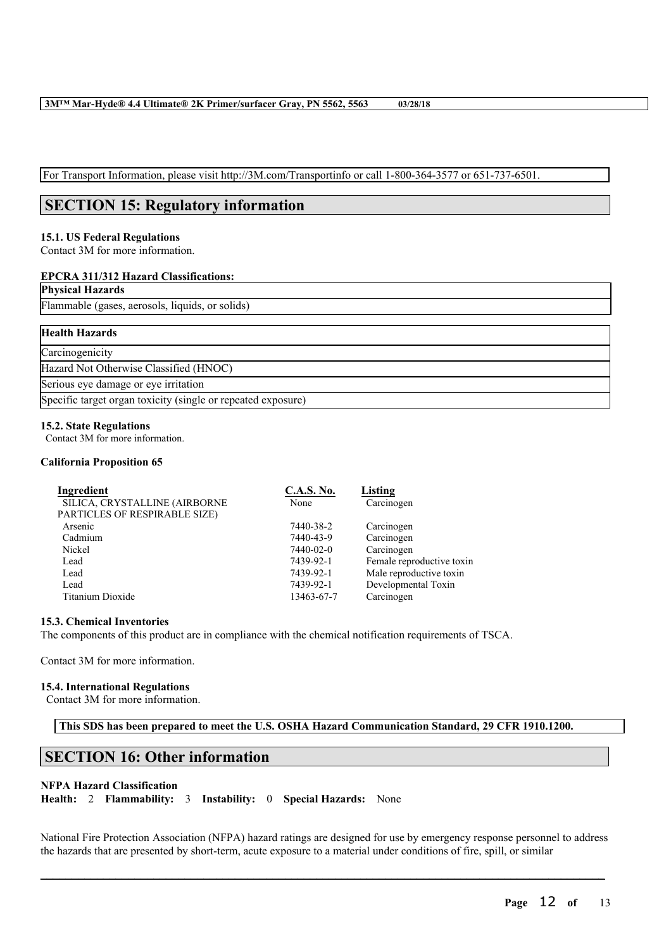For Transport Information, please visit http://3M.com/Transportinfo or call 1-800-364-3577 or 651-737-6501.

# **SECTION 15: Regulatory information**

### **15.1. US Federal Regulations**

Contact 3M for more information.

## **EPCRA 311/312 Hazard Classifications:**

## **Physical Hazards**

Flammable (gases, aerosols, liquids, or solids)

| <b>Health Hazards</b>                                        |
|--------------------------------------------------------------|
| Carcinogenicity                                              |
| Hazard Not Otherwise Classified (HNOC)                       |
| Serious eye damage or eye irritation                         |
| Specific target organ toxicity (single or repeated exposure) |

#### **15.2. State Regulations**

Contact 3M for more information.

#### **California Proposition 65**

| Ingredient                    | <b>C.A.S. No.</b> | Listing                   |
|-------------------------------|-------------------|---------------------------|
| SILICA, CRYSTALLINE (AIRBORNE | None              | Carcinogen                |
| PARTICLES OF RESPIRABLE SIZE) |                   |                           |
| Arsenic                       | 7440-38-2         | Carcinogen                |
| Cadmium                       | 7440-43-9         | Carcinogen                |
| Nickel                        | 7440-02-0         | Carcinogen                |
| Lead                          | 7439-92-1         | Female reproductive toxin |
| Lead                          | 7439-92-1         | Male reproductive toxin   |
| Lead                          | 7439-92-1         | Developmental Toxin       |
| Titanium Dioxide              | 13463-67-7        | Carcinogen                |

### **15.3. Chemical Inventories**

The components of this product are in compliance with the chemical notification requirements of TSCA.

Contact 3M for more information.

#### **15.4. International Regulations**

Contact 3M for more information.

**This SDS has been prepared to meet the U.S. OSHA Hazard Communication Standard, 29 CFR 1910.1200.**

## **SECTION 16: Other information**

### **NFPA Hazard Classification**

**Health:** 2 **Flammability:** 3 **Instability:** 0 **Special Hazards:** None

National Fire Protection Association (NFPA) hazard ratings are designed for use by emergency response personnel to address the hazards that are presented by short-term, acute exposure to a material under conditions of fire, spill, or similar